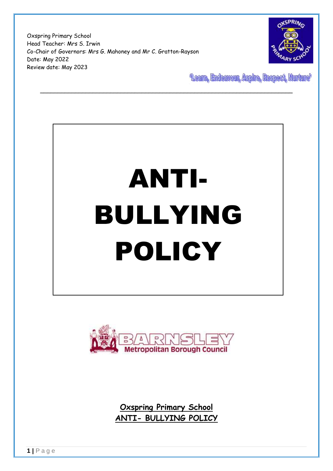Oxspring Primary School Head Teacher: Mrs S. Irwin Co-Chair of Governors: Mrs G. Mahoney and Mr C. Gratton-Rayson Date: May 2022 Review date: May 2023



**"Learn, Endeavour, Aspire, Respect, Nurture"** 

# ANTI-BULLYING POLICY

\_\_\_\_\_\_\_\_\_\_\_\_\_\_\_\_\_\_\_\_\_\_\_\_\_\_\_\_\_\_\_\_\_\_\_\_\_\_\_\_\_\_\_\_\_\_\_\_\_\_\_\_\_\_\_\_\_\_\_\_\_\_\_\_\_\_\_\_\_\_\_\_



**Oxspring Primary School ANTI- BULLYING POLICY**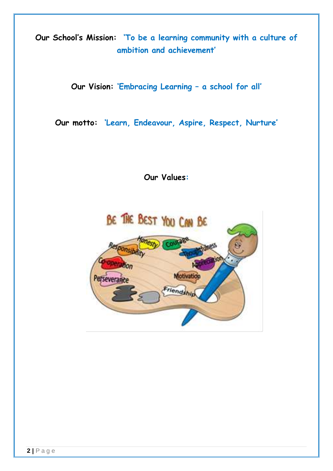**Our School's Mission: 'To be a learning community with a culture of ambition and achievement'**

**Our Vision: 'Embracing Learning – a school for all'**

**Our motto: 'Learn, Endeavour, Aspire, Respect, Nurture'**

**Our Values:**

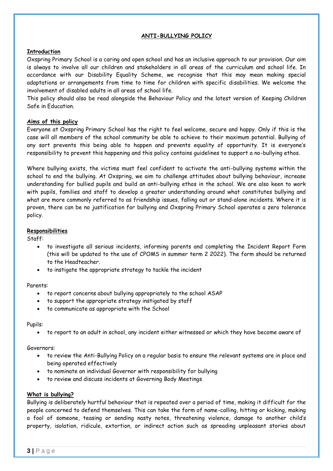# **ANTI-BULLYING POLICY**

# **Introduction**

Oxspring Primary School is a caring and open school and has an inclusive approach to our provision. Our aim is always to involve all our children and stakeholders in all areas of the curriculum and school life. In accordance with our Disability Equality Scheme, we recognise that this may mean making special adaptations or arrangements from time to time for children with specific disabilities. We welcome the involvement of disabled adults in all areas of school life.

This policy should also be read alongside the Behaviour Policy and the latest version of Keeping Children Safe in Education.

# **Aims of this policy**

Everyone at Oxspring Primary School has the right to feel welcome, secure and happy. Only if this is the case will all members of the school community be able to achieve to their maximum potential. Bullying of any sort prevents this being able to happen and prevents equality of opportunity. It is everyone's responsibility to prevent this happening and this policy contains guidelines to support a no-bullying ethos.

Where bullying exists, the victims must feel confident to activate the anti-bullying systems within the school to end the bullying. At Oxspring, we aim to challenge attitudes about bullying behaviour, increase understanding for bullied pupils and build an anti-bullying ethos in the school. We are also keen to work with pupils, families and staff to develop a greater understanding around what constitutes bullying and what are more commonly referred to as friendship issues, falling out or stand-alone incidents. Where it is proven, there can be no justification for bullying and Oxspring Primary School operates a zero tolerance policy.

# **Responsibilities**

Staff:

- to investigate all serious incidents, informing parents and completing the Incident Report Form (this will be updated to the use of CPOMS in summer term 2 2022). The form should be returned to the Headteacher.
- to instigate the appropriate strategy to tackle the incident

#### Parents:

- to report concerns about bullying appropriately to the school ASAP
- to support the appropriate strategy instigated by staff
- to communicate as appropriate with the School

#### Pupils:

to report to an adult in school, any incident either witnessed or which they have become aware of

#### Governors:

- to review the Anti-Bullying Policy on a regular basis to ensure the relevant systems are in place and being operated effectively
- to nominate an individual Governor with responsibility for bullying
- to review and discuss incidents at Governing Body Meetings

#### **What is bullying?**

Bullying is deliberately hurtful behaviour that is repeated over a period of time, making it difficult for the people concerned to defend themselves. This can take the form of name-calling, hitting or kicking, making a fool of someone, teasing or sending nasty notes, threatening violence, damage to another child's property, isolation, ridicule, extortion, or indirect action such as spreading unpleasant stories about